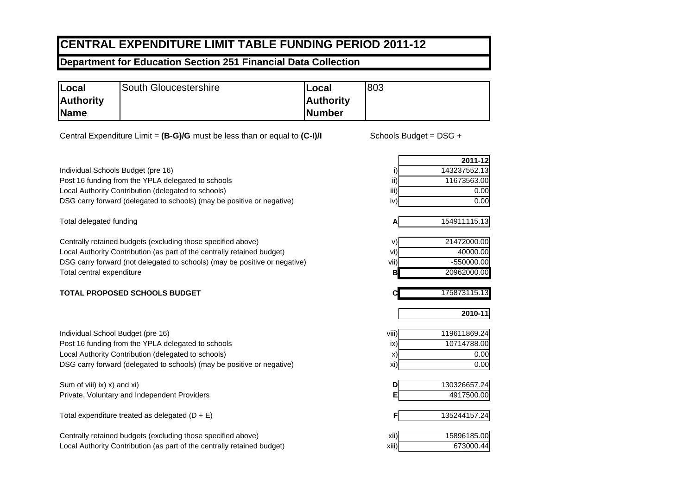## **CENTRAL EXPENDITURE LIMIT TABLE FUNDING PERIOD 2011-12**

## **Department for Education Section 251 Financial Data Collection**

| Local            | South Gloucestershire | lLocal           | 803 |
|------------------|-----------------------|------------------|-----|
| <b>Authority</b> |                       | <b>Authority</b> |     |
| Name             |                       | Number           |     |

Central Expenditure Limit = (B-G)/G must be less than or equal to (C-I)/I Schools Budget = DSG +

Individual Schools Budget (pre 16) Post 16 funding from the YPLA delegated to schools Local Authority Contribution (delegated to schools) DSG carry forward (delegated to schools) (may be positive or negative)

Total delegated funding

Centrally retained budgets (excluding those specified above)  $\vee$ Local Authority Contribution (as part of the centrally retained budget) villaget village village village village village village village village village village village village village village village village village villa DSG carry forward (not delegated to schools) (may be positive or negative) vii) vii) vii) viii -550000.00 Total central expenditure

## **TOTAL PROPOSED SCHOOLS BUDGET**

| Individual School Budget (pre 16)                                       | viii) | 119611869.24 |
|-------------------------------------------------------------------------|-------|--------------|
| Post 16 funding from the YPLA delegated to schools                      | ix)   | 10714788.00  |
| Local Authority Contribution (delegated to schools)                     | X)    | 0.00         |
| DSG carry forward (delegated to schools) (may be positive or negative)  | xi)   | 0.00         |
| Sum of viii) ix) x) and xi)                                             | D     | 130326657.24 |
| Private, Voluntary and Independent Providers                            |       | 4917500.00   |
| Total expenditure treated as delegated $(D + E)$                        |       | 135244157.24 |
| Centrally retained budgets (excluding those specified above)            | XII)  | 15896185.00  |
| Local Authority Contribution (as part of the centrally retained budget) | xiii) | 673000.44    |

**A**

**C**

|     | 2011-12      |
|-----|--------------|
|     | 143237552.13 |
|     | 11673563.00  |
| iij | 0.00         |
| iv  | 0.00         |
|     |              |

| .           |
|-------------|
| 21472000.00 |
| 40000.00    |

| ΛÏ | $-550000.00$ |
|----|--------------|
|    | 20962000.00  |
|    |              |

175873115.13

**2010-11**

154911115.13

| viii) | 119611869.24 |
|-------|--------------|
| ix)   | 10714788.00  |
| X)    | 0.00         |
| xi)   | 0.00         |

| 130326657.24 |
|--------------|
| 4917500.00   |
|              |

| 135244157.24 |
|--------------|
|              |

| xii)  | 15896185.00 |
|-------|-------------|
| xiii) | 673000.44   |